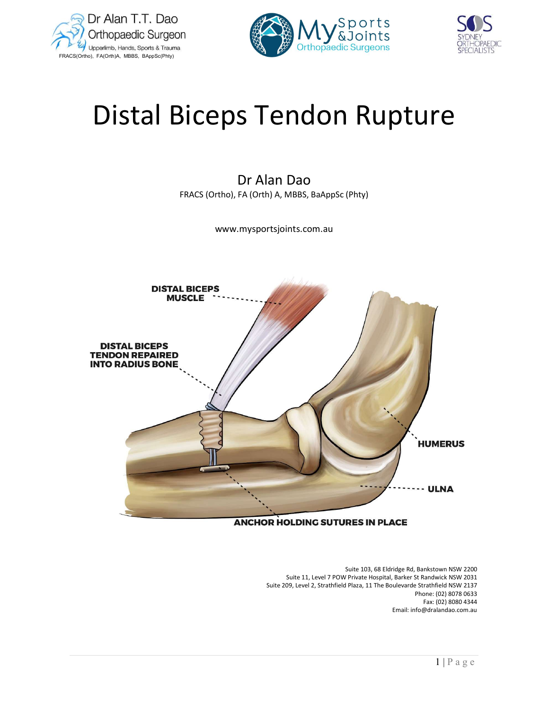





# Distal Biceps Tendon Rupture

Dr Alan Dao FRACS (Ortho), FA (Orth) A, MBBS, BaAppSc (Phty)

www.mysportsjoints.com.au



## **ANCHOR HOLDING SUTURES IN PLACE**

 Suite 103, 68 Eldridge Rd, Bankstown NSW 2200 Suite 11, Level 7 POW Private Hospital, Barker St Randwick NSW 2031 Suite 209, Level 2, Strathfield Plaza, 11 The Boulevarde Strathfield NSW 2137 Phone: (02) 8078 0633 Fax: (02) 8080 4344 Email: info@dralandao.com.au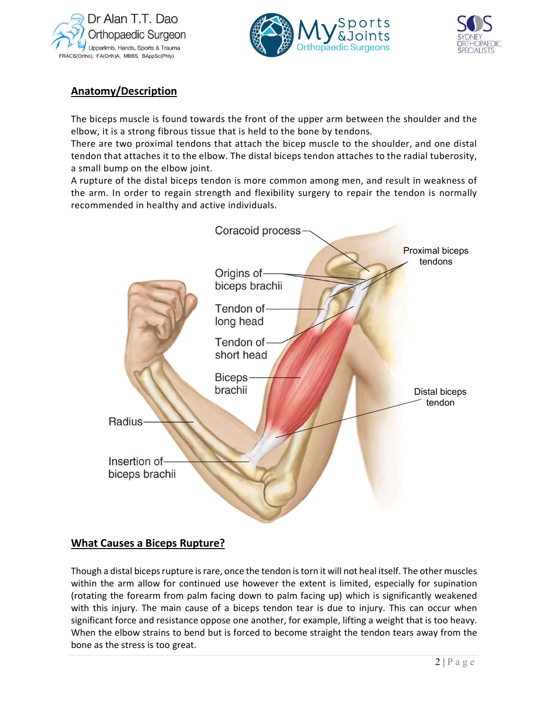





# Anatomy/Description

The biceps muscle is found towards the front of the upper arm between the shoulder and the elbow, it is a strong fibrous tissue that is held to the bone by tendons.

There are two proximal tendons that attach the bicep muscle to the shoulder, and one distal tendon that attaches it to the elbow. The distal biceps tendon attaches to the radial tuberosity, a small bump on the elbow joint.

A rupture of the distal biceps tendon is more common among men, and result in weakness of the arm. In order to regain strength and flexibility surgery to repair the tendon is normally recommended in healthy and active individuals.



# What Causes a Biceps Rupture?

Though a distal biceps rupture is rare, once the tendon is torn it will not heal itself. The other muscles within the arm allow for continued use however the extent is limited, especially for supination (rotating the forearm from palm facing down to palm facing up) which is significantly weakened with this injury. The main cause of a biceps tendon tear is due to injury. This can occur when significant force and resistance oppose one another, for example, lifting a weight that is too heavy. When the elbow strains to bend but is forced to become straight the tendon tears away from the bone as the stress is too great.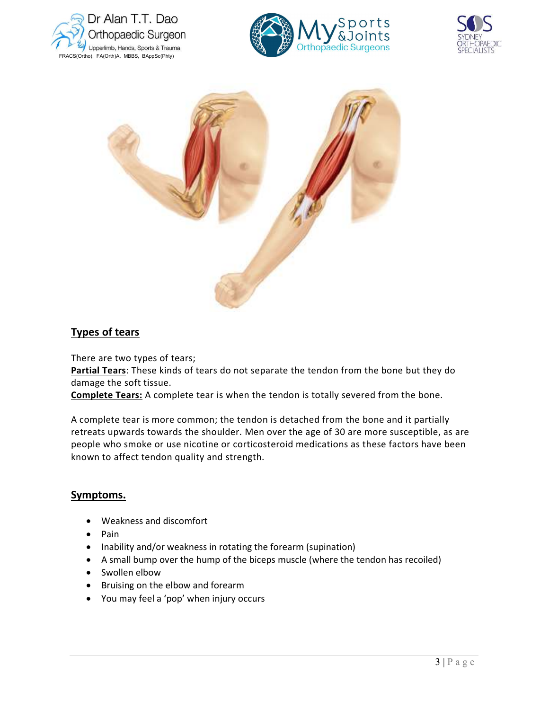



![](_page_2_Picture_2.jpeg)

![](_page_2_Picture_3.jpeg)

## Types of tears

There are two types of tears;

Partial Tears: These kinds of tears do not separate the tendon from the bone but they do damage the soft tissue.

Complete Tears: A complete tear is when the tendon is totally severed from the bone.

e been<br>  $\overline{3 \mid P \text{ a } g \text{ e}}$ <br>  $\overline{3 \mid P \text{ a } g \text{ e}}$ A complete tear is more common; the tendon is detached from the bone and it partially retreats upwards towards the shoulder. Men over the age of 30 are more susceptible, as are people who smoke or use nicotine or corticosteroid medications as these factors have been known to affect tendon quality and strength.

## Symptoms.

- Weakness and discomfort
- $\bullet$  Pain
- Inability and/or weakness in rotating the forearm (supination)
- A small bump over the hump of the biceps muscle (where the tendon has recoiled)
- Swollen elbow
- Bruising on the elbow and forearm
- You may feel a 'pop' when injury occurs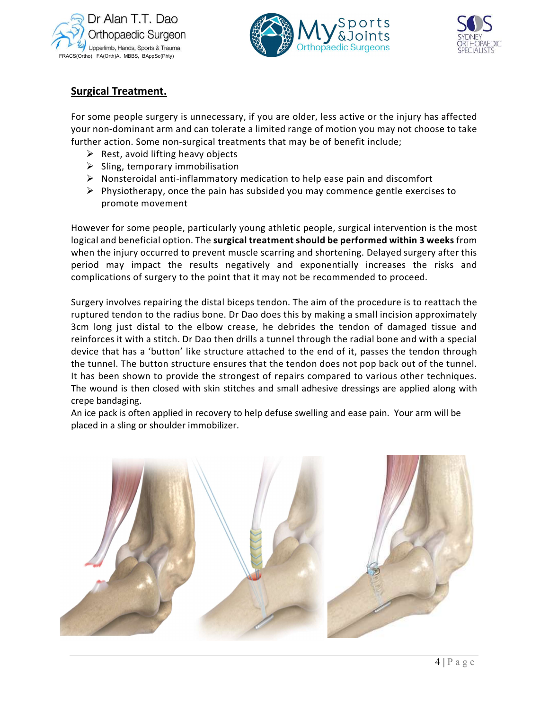![](_page_3_Picture_0.jpeg)

![](_page_3_Picture_1.jpeg)

![](_page_3_Picture_2.jpeg)

# Surgical Treatment.

For some people surgery is unnecessary, if you are older, less active or the injury has affected your non-dominant arm and can tolerate a limited range of motion you may not choose to take further action. Some non-surgical treatments that may be of benefit include;

- $\triangleright$  Rest, avoid lifting heavy objects
- $\triangleright$  Sling, temporary immobilisation
- $\triangleright$  Nonsteroidal anti-inflammatory medication to help ease pain and discomfort
- $\triangleright$  Physiotherapy, once the pain has subsided you may commence gentle exercises to promote movement

However for some people, particularly young athletic people, surgical intervention is the most logical and beneficial option. The surgical treatment should be performed within 3 weeks from when the injury occurred to prevent muscle scarring and shortening. Delayed surgery after this period may impact the results negatively and exponentially increases the risks and complications of surgery to the point that it may not be recommended to proceed.

Surgery involves repairing the distal biceps tendon. The aim of the procedure is to reattach the ruptured tendon to the radius bone. Dr Dao does this by making a small incision approximately 3cm long just distal to the elbow crease, he debrides the tendon of damaged tissue and reinforces it with a stitch. Dr Dao then drills a tunnel through the radial bone and with a special device that has a 'button' like structure attached to the end of it, passes the tendon through the tunnel. The button structure ensures that the tendon does not pop back out of the tunnel. It has been shown to provide the strongest of repairs compared to various other techniques. The wound is then closed with skin stitches and small adhesive dressings are applied along with crepe bandaging.

An ice pack is often applied in recovery to help defuse swelling and ease pain. Your arm will be placed in a sling or shoulder immobilizer.

![](_page_3_Picture_12.jpeg)